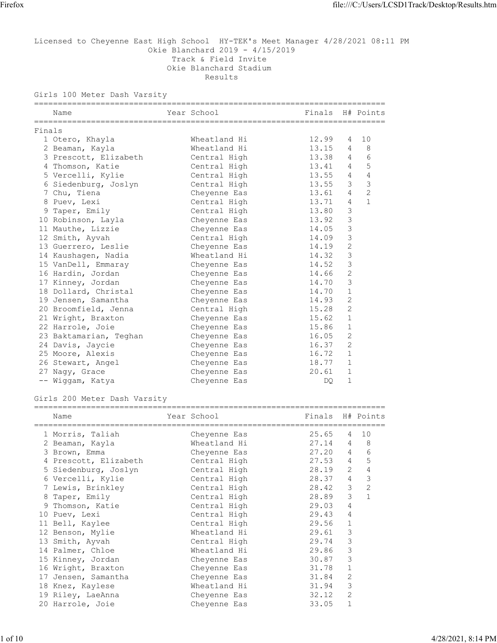# Licensed to Cheyenne East High School HY-TEK's Meet Manager 4/28/2021 08:11 PM Okie Blanchard 2019 - 4/15/2019 Track & Field Invite Okie Blanchard Stadium Results Firefox<br>
File:///C:/Users/LCSD1Track/Desktop/Results.htm<br>
Licensed to Cheyenne East High School HY-TEK's Meet Manager 4/28/2021 08:11 PM<br>
Okie Blanchard 2019 - 4/15/2019<br>
Track 5 Field Invite

Girls 100 Meter Dash Varsity

|  | Name                               | Year School        | Finals H# Points |                |                |
|--|------------------------------------|--------------------|------------------|----------------|----------------|
|  | Finals                             |                    |                  |                |                |
|  | 1 Otero, Khayla                    | Wheatland Hi       | 12.99            | 4              | 10             |
|  | 2 Beaman, Kayla                    | Wheatland Hi       | 13.15 4          |                | 8              |
|  | 3 Prescott, Elizabeth Central High |                    | 13.38 4          |                | 6              |
|  | 4 Thomson, Katie                   | Central High       | 13.41 4          |                | 5              |
|  | 5 Vercelli, Kylie                  | Central High       | 13.55 4          |                | $\overline{4}$ |
|  | 6 Siedenburg, Joslyn Central High  |                    | 13.55            | 3              | 3              |
|  | 7 Chu, Tiena                       | Cheyenne Eas       | 13.61            | 4              | $\overline{c}$ |
|  | 8 Puev, Lexi                       | Central High       | 13.71            | 4              | $\mathbf{1}$   |
|  | 9 Taper, Emily                     | Central High       | 13.80            | 3              |                |
|  | 10 Robinson, Layla                 | Cheyenne Eas       | 13.92            | 3              |                |
|  | 11 Mauthe, Lizzie                  | Cheyenne Eas       | 14.05            | 3              |                |
|  | 12 Smith, Ayvah                    | Central High       | 14.09            | 3              |                |
|  | 13 Guerrero, Leslie                | Cheyenne Eas       | 14.19            | 2              |                |
|  | 14 Kaushagen, Nadia                | Wheatland Hi       | 14.32            | 3              |                |
|  | 15 VanDell, Emmaray                | Cheyenne Eas 14.52 |                  | 3              |                |
|  | 16 Hardin, Jordan                  | Cheyenne Eas       | 14.66            | 2              |                |
|  | 17 Kinney, Jordan                  | Cheyenne Eas       | 14.70            | 3              |                |
|  | 18 Dollard, Christal               | Cheyenne Eas       | 14.70            | 1              |                |
|  | 19 Jensen, Samantha                | Cheyenne Eas       | 14.93            | 2              |                |
|  | 20 Broomfield, Jenna               | Central High       | 15.28            | 2              |                |
|  | 21 Wright, Braxton                 | Cheyenne Eas       | 15.62            | 1              |                |
|  | 22 Harrole, Joie                   | Cheyenne Eas       | 15.86            | $\mathbf{1}$   |                |
|  | 23 Baktamarian, Teghan             | Cheyenne Eas       | 16.05            | 2              |                |
|  | 24 Davis, Jaycie                   | Cheyenne Eas       | 16.37            | 2              |                |
|  | 25 Moore, Alexis                   | Cheyenne Eas       | 16.72            | 1              |                |
|  | 26 Stewart, Angel                  | Cheyenne Eas       | 18.77            | $\overline{1}$ |                |
|  | 27 Nagy, Grace                     | Cheyenne Eas       | 20.61            | 1              |                |
|  | -- Wiggam, Katya                   | Cheyenne Eas       | <b>DO</b>        | $\mathbf{1}$   |                |

#### Girls 200 Meter Dash Varsity

| Name                   | Year School  | Finals H# Points |                |      |
|------------------------|--------------|------------------|----------------|------|
| 1 Morris, Taliah       | Cheyenne Eas | 25.65            |                | 4 10 |
| 2 Beaman, Kayla        | Wheatland Hi | 27.14            | $\overline{4}$ | 8    |
| 3 Brown, Emma          | Cheyenne Eas | 27.20            | $\overline{4}$ | 6    |
| 4 Prescott, Elizabeth  | Central High | 27.53 4          |                | 5    |
| 5 Siedenburg, Joslyn   | Central High | 28.19            | 2              | 4    |
| 6 Vercelli, Kylie      | Central High | 28.37            | $4\phantom{0}$ | 3    |
| 7 Lewis, Brinkley      | Central High | 28.42 3          |                | 2    |
| 8 Taper, Emily         | Central High | 28.89 3          |                |      |
| 9 Thomson, Katie       | Central High | 29.03            | 4              |      |
| 10 Puev, Lexi          | Central High | 29.43            | 4              |      |
| 11 Bell, Kaylee        | Central High | 29.56            | 1              |      |
| 12 Benson, Mylie       | Wheatland Hi | 29.61            | 3              |      |
| 13 Smith, Ayvah        | Central High | 29.74            | 3              |      |
| 14 Palmer, Chloe       | Wheatland Hi | 29.86            | 3              |      |
| 15 Kinney, Jordan      | Cheyenne Eas | 30.87            | 3              |      |
| 16 Wright, Braxton     | Cheyenne Eas | 31.78            | 1              |      |
| Jensen, Samantha<br>17 | Cheyenne Eas | 31.84            | 2              |      |
| 18 Knez, Kaylese       | Wheatland Hi | 31.94            | 3              |      |
| 19 Riley, LaeAnna      | Cheyenne Eas | 32.12            | 2              |      |
| 20 Harrole, Joie       | Cheyenne Eas | 33.05            |                |      |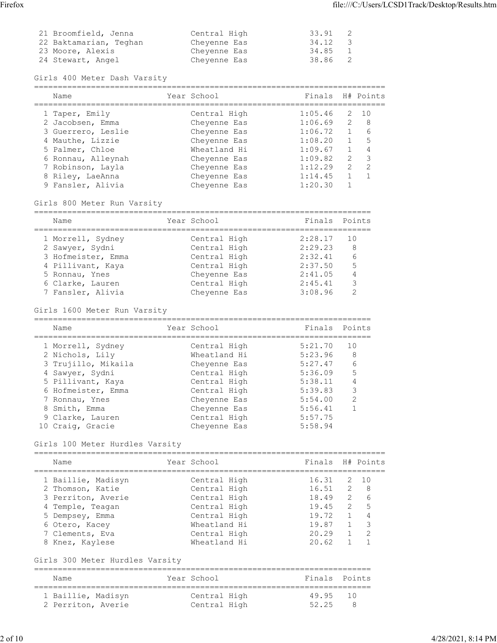| Firefox |                                                                 |                                              |                         | file:///C:/Users/LCSD1Track/Desktop/Results.htm |  |
|---------|-----------------------------------------------------------------|----------------------------------------------|-------------------------|-------------------------------------------------|--|
|         | 21 Broomfield, Jenna                                            | Central High                                 | 33.91                   | 2                                               |  |
|         | 22 Baktamarian, Teghan<br>23 Moore, Alexis<br>24 Stewart, Angel | Cheyenne Eas<br>Cheyenne Eas<br>Cheyenne Eas | 34.12<br>34.85<br>38.86 | $\overline{\mathbf{3}}$<br>$1\,$<br>2           |  |
|         |                                                                 |                                              |                         |                                                 |  |

Girls 400 Meter Dash Varsity

| Name               | Year School  | Finals H# Points |                |      |
|--------------------|--------------|------------------|----------------|------|
| 1 Taper, Emily     | Central High | 1:05.46          |                | 2 10 |
| 2 Jacobsen, Emma   | Cheyenne Eas | 1:06.69          | $\overline{2}$ | - 8  |
| 3 Guerrero, Leslie | Cheyenne Eas | 1:06.72          |                | -6   |
| 4 Mauthe, Lizzie   | Cheyenne Eas | 1:08.20          |                | -5   |
| 5 Palmer, Chloe    | Wheatland Hi | 1:09.67          |                | 4    |
| 6 Ronnau, Alleynah | Cheyenne Eas | 1:09.82          | -2             | 3    |
| 7 Robinson, Layla  | Cheyenne Eas | 1:12.29          | 2              | 2    |
| 8 Riley, LaeAnna   | Cheyenne Eas | 1:14.45          |                |      |
| 9 Fansler, Alivia  | Cheyenne Eas | 1:20.30          |                |      |
|                    |              |                  |                |      |

#### Girls 800 Meter Run Varsity

| Name               | Year School  | Finals Points |    |
|--------------------|--------------|---------------|----|
| 1 Morrell, Sydney  | Central High | 2:28.17       | 10 |
| 2 Sawyer, Sydni    | Central High | 2:29.23       | 8  |
| 3 Hofmeister, Emma | Central High | 2:32.41       | 6  |
| 4 Pillivant, Kaya  | Central High | 2:37.50       | -5 |
| 5 Ronnau, Ynes     | Cheyenne Eas | 2:41.05       | 4  |
| 6 Clarke, Lauren   | Central High | 2:45.41       | 3  |
| 7 Fansler, Alivia  | Chevenne Eas | 3:08.96       |    |

# Girls 1600 Meter Run Varsity

| Name                | Year School  |         | Finals Points |
|---------------------|--------------|---------|---------------|
| 1 Morrell, Sydney   | Central High | 5:21.70 | 10            |
| 2 Nichols, Lily     | Wheatland Hi | 5:23.96 | 8             |
| 3 Trujillo, Mikaila | Cheyenne Eas | 5:27.47 | 6             |
| 4 Sawyer, Sydni     | Central High | 5:36.09 | 5             |
| 5 Pillivant, Kaya   | Central High | 5:38.11 | 4             |
| 6 Hofmeister, Emma  | Central High | 5:39.83 | 3             |
| 7 Ronnau, Ynes      | Cheyenne Eas | 5:54.00 | 2             |
| 8 Smith, Emma       | Cheyenne Eas | 5:56.41 |               |
| 9 Clarke, Lauren    | Central High | 5:57.75 |               |
| 10 Craig, Gracie    | Chevenne Eas | 5:58.94 |               |

#### Girls 100 Meter Hurdles Varsity

| Name               | Year School  | Finals H# Points |                |      |
|--------------------|--------------|------------------|----------------|------|
| 1 Baillie, Madisyn | Central High | 16.31            |                | 2 10 |
| 2 Thomson, Katie   | Central High | 16.51            |                | 2 8  |
| 3 Perriton, Averie | Central High | 18.49            | $\overline{2}$ | - 6  |
| 4 Temple, Teagan   | Central High | 19.45            | $\overline{2}$ | -5   |
| 5 Dempsey, Emma    | Central High | 19.72            |                | 4    |
| 6 Otero, Kacey     | Wheatland Hi | 19.87            |                | -3   |
| 7 Clements, Eva    | Central High | 20.29            |                | - 2  |
| 8 Knez, Kaylese    | Wheatland Hi | 20.62            |                |      |

# Girls 300 Meter Hurdles Varsity

| Name               | Year School  | Finals Points |               |
|--------------------|--------------|---------------|---------------|
| 1 Baillie, Madisyn | Central High | 49.95 10      |               |
| 2 Perriton, Averie | Central High | 52.25         | $\mathcal{R}$ |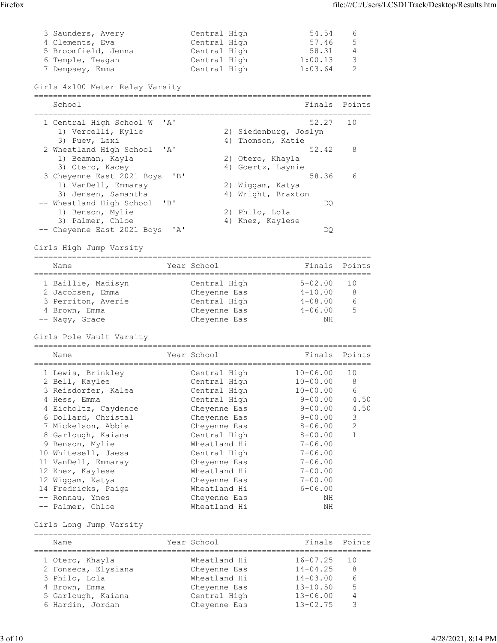| Firefox |                     |              |         |                | file:///C:/Users/LCSD1Track/Desktop/Results.htm |  |
|---------|---------------------|--------------|---------|----------------|-------------------------------------------------|--|
|         |                     |              |         |                |                                                 |  |
|         | 3 Saunders, Avery   | Central High | 54.54   | $6\,$          |                                                 |  |
|         | 4 Clements, Eva     | Central High | 57.46   | 5              |                                                 |  |
|         | 5 Broomfield, Jenna | Central High | 58.31   | $\overline{4}$ |                                                 |  |
|         | 6 Temple, Teagan    | Central High | 1:00.13 | $\mathcal{S}$  |                                                 |  |
|         | 7 Dempsey, Emma     | Central High | 1:03.64 | $\mathbf{2}$   |                                                 |  |

# Girls 4x100 Meter Relay Varsity

| School                         | Finals Points         |                |
|--------------------------------|-----------------------|----------------|
| 1 Central High School W 'A'    | 52.27                 | 10             |
| 1) Vercelli, Kylie             | 2) Siedenburg, Joslyn |                |
| 3) Puev, Lexi                  | 4) Thomson, Katie     |                |
| 2 Wheatland High School 'A'    | 52.42                 | 8 <sup>8</sup> |
| 1) Beaman, Kayla               | 2) Otero, Khayla      |                |
| 3) Otero, Kacey                | 4) Goertz, Laynie     |                |
| 3 Cheyenne East 2021 Boys 'B'  | 58.36                 | 6              |
| 1) VanDell, Emmaray            | 2) Wiqqam, Katya      |                |
| 3) Jensen, Samantha            | 4) Wright, Braxton    |                |
| -- Wheatland High School 'B'   | DO                    |                |
| 1) Benson, Mylie               | 2) Philo, Lola        |                |
| 3) Palmer, Chloe               | 4) Knez, Kaylese      |                |
| -- Cheyenne East 2021 Boys 'A' | DQ.                   |                |

Girls High Jump Varsity

|  | Name               | Year School  | Finals Points |     |  |
|--|--------------------|--------------|---------------|-----|--|
|  | 1 Baillie, Madisyn | Central High | $5 - 02.00$   | 10  |  |
|  | 2 Jacobsen, Emma   | Cheyenne Eas | $4 - 10.00$   | - 8 |  |
|  | 3 Perriton, Averie | Central High | $4 - 08.00$   | 6   |  |
|  | 4 Brown, Emma      | Cheyenne Eas | $4 - 06.00$   | .5  |  |
|  | -- Naqy, Grace     | Cheyenne Eas | ΝH            |     |  |

#### Girls Pole Vault Varsity

| Name                 | Year School  |              | Finals Points |
|----------------------|--------------|--------------|---------------|
| 1 Lewis, Brinkley    | Central High | $10 - 06.00$ | 10            |
| 2 Bell, Kaylee       | Central High | $10 - 00.00$ | 8             |
| 3 Reisdorfer, Kalea  | Central High | $10 - 00.00$ | 6             |
| 4 Hess, Emma         | Central High | $9 - 00.00$  | 4.50          |
| 4 Eicholtz, Caydence | Cheyenne Eas | $9 - 00.00$  | 4.50          |
| 6 Dollard, Christal  | Cheyenne Eas | $9 - 00.00$  | 3             |
| 7 Mickelson, Abbie   | Cheyenne Eas | $8 - 06.00$  | 2             |
| 8 Garlough, Kaiana   | Central High | 8-00.00      |               |
| 9 Benson, Mylie      | Wheatland Hi | $7 - 06.00$  |               |
| 10 Whitesell, Jaesa  | Central High | $7 - 06.00$  |               |
| 11 VanDell, Emmaray  | Cheyenne Eas | $7 - 06.00$  |               |
| 12 Knez, Kaylese     | Wheatland Hi | $7 - 00.00$  |               |
| 12 Wiqqam, Katya     | Cheyenne Eas | 7-00.00      |               |
| 14 Fredricks, Paige  | Wheatland Hi | $6 - 06.00$  |               |
| -- Ronnau, Ynes      | Cheyenne Eas | NH           |               |
| -- Palmer, Chloe     | Wheatland Hi | ΝH           |               |

#### Girls Long Jump Varsity

| Name                | Year School  | Finals Points |    |
|---------------------|--------------|---------------|----|
| 1 Otero, Khayla     | Wheatland Hi | 16-07.25      | 10 |
| 2 Fonseca, Elysiana | Cheyenne Eas | $14 - 04.25$  | 8  |
| 3 Philo, Lola       | Wheatland Hi | $14 - 03.00$  | 6  |
| 4 Brown, Emma       | Cheyenne Eas | $13 - 10.50$  | -5 |
| 5 Garlough, Kaiana  | Central High | $13 - 06.00$  | 4  |
| 6 Hardin, Jordan    | Chevenne Eas | $13 - 02.75$  |    |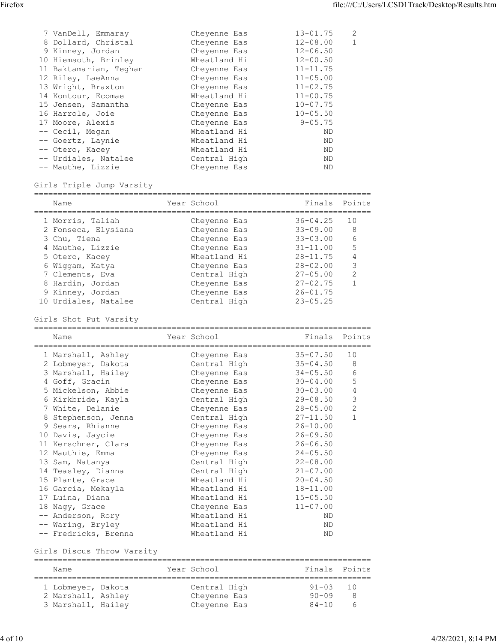| Firefox |                                                |                              |                              | file:///C:/Users/LCSD1Track/Desktop/Results.htm |  |
|---------|------------------------------------------------|------------------------------|------------------------------|-------------------------------------------------|--|
|         |                                                |                              |                              |                                                 |  |
|         |                                                |                              |                              | $\mathbf{2}$                                    |  |
|         | 7 VanDell, Emmaray                             | Cheyenne Eas                 | $13 - 01.75$                 | $\mathbf{1}$                                    |  |
|         | 8 Dollard, Christal                            | Cheyenne Eas                 | $12 - 08.00$                 |                                                 |  |
|         | 9 Kinney, Jordan                               | Cheyenne Eas<br>Wheatland Hi | $12 - 06.50$<br>$12 - 00.50$ |                                                 |  |
|         | 10 Hiemsoth, Brinley<br>11 Baktamarian, Teghan | Cheyenne Eas                 | $11 - 11.75$                 |                                                 |  |
|         |                                                |                              | $11 - 05.00$                 |                                                 |  |
|         | 12 Riley, LaeAnna<br>13 Wright, Braxton        | Cheyenne Eas<br>Cheyenne Eas | $11 - 02.75$                 |                                                 |  |
|         | 14 Kontour, Ecomae                             | Wheatland Hi                 | $11 - 00.75$                 |                                                 |  |
|         | 15 Jensen, Samantha                            | Cheyenne Eas                 | $10 - 07.75$                 |                                                 |  |
|         | 16 Harrole, Joie                               | Cheyenne Eas                 | $10 - 05.50$                 |                                                 |  |
|         | 17 Moore, Alexis                               | Cheyenne Eas                 | $9 - 05.75$                  |                                                 |  |
|         |                                                | Wheatland Hi                 | ND.                          |                                                 |  |
|         | -- Cecil, Megan<br>-- Goertz, Laynie           | Wheatland Hi                 | $\rm ND$                     |                                                 |  |
|         | -- Otero, Kacey                                | Wheatland Hi                 | ND                           |                                                 |  |
|         | -- Urdiales, Natalee                           | Central High                 | $\rm ND$                     |                                                 |  |
|         | -- Mauthe, Lizzie                              | Cheyenne Eas                 | $\rm ND$                     |                                                 |  |

#### Girls Triple Jump Varsity

| Name                 | Year School  |              | Finals Points |
|----------------------|--------------|--------------|---------------|
| 1 Morris, Taliah     | Cheyenne Eas | $36 - 04.25$ | 10            |
| 2 Fonseca, Elysiana  | Cheyenne Eas | $33 - 09.00$ | 8             |
| 3 Chu, Tiena         | Cheyenne Eas | $33 - 03.00$ | 6             |
| 4 Mauthe, Lizzie     | Cheyenne Eas | $31 - 11.00$ | 5             |
| 5 Otero, Kacey       | Wheatland Hi | $28 - 11.75$ | 4             |
| 6 Wiqqam, Katya      | Cheyenne Eas | $28 - 02.00$ | 3             |
| 7 Clements, Eva      | Central High | $27 - 05.00$ | 2             |
| 8 Hardin, Jordan     | Cheyenne Eas | $27 - 02.75$ |               |
| 9 Kinney, Jordan     | Cheyenne Eas | $26 - 01.75$ |               |
| 10 Urdiales, Natalee | Central High | $23 - 05.25$ |               |

Girls Shot Put Varsity

| Name                 | Year School  | Finals Points |                |
|----------------------|--------------|---------------|----------------|
| 1 Marshall, Ashley   | Cheyenne Eas | $35 - 07.50$  | 10             |
| 2 Lobmeyer, Dakota   | Central High | $35 - 04.50$  | 8              |
| 3 Marshall, Hailey   | Cheyenne Eas | $34 - 05.50$  | 6              |
| 4 Goff, Gracin       | Cheyenne Eas | $30 - 04.00$  | 5              |
| 5 Mickelson, Abbie   | Cheyenne Eas | $30 - 03.00$  | $\overline{4}$ |
| 6 Kirkbride, Kayla   | Central High | 29-08.50      | 3              |
| 7 White, Delanie     | Cheyenne Eas | 28-05.00      | 2              |
| 8 Stephenson, Jenna  | Central High | $27 - 11.50$  | $\mathbf{1}$   |
| 9 Sears, Rhianne     | Cheyenne Eas | $26 - 10.00$  |                |
| 10 Davis, Jaycie     | Cheyenne Eas | $26 - 09.50$  |                |
| 11 Kerschner, Clara  | Cheyenne Eas | $26 - 06.50$  |                |
| 12 Mauthie, Emma     | Cheyenne Eas | $24 - 05.50$  |                |
| 13 Sam, Natanya      | Central High | $22 - 08.00$  |                |
| 14 Teasley, Dianna   | Central High | $21 - 07.00$  |                |
| 15 Plante, Grace     | Wheatland Hi | $20 - 04.50$  |                |
| 16 Garcia, Mekayla   | Wheatland Hi | 18-11.00      |                |
| 17 Luina, Diana      | Wheatland Hi | $15 - 05.50$  |                |
| 18 Nagy, Grace       | Cheyenne Eas | $11 - 07.00$  |                |
| -- Anderson, Rory    | Wheatland Hi | ND            |                |
| -- Waring, Bryley    | Wheatland Hi | ND            |                |
| -- Fredricks, Brenna | Wheatland Hi | <b>ND</b>     |                |

Girls Discus Throw Varsity

======================================================================= Name Year School Finals Points ======================================================================= 1 Lobmeyer, Dakota Central High 91-03 10 2 Marshall, Ashley Cheyenne Eas 90-09 8 3 Marshall, Hailey Cheyenne Eas 84-10 6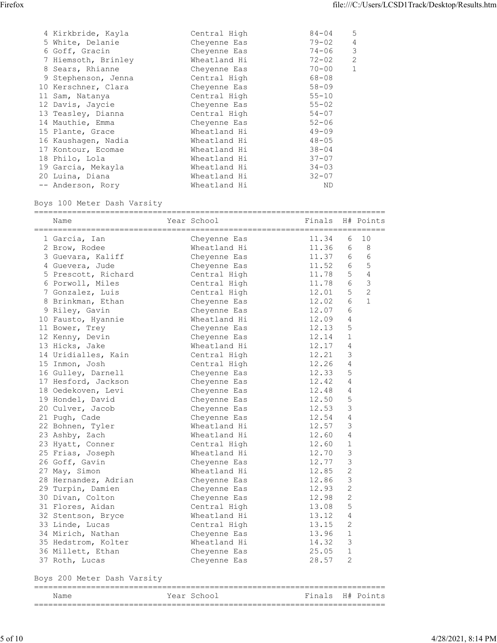| Firefox |                                      |                              |                       | file:///C:/Users/LCSD1Track/Desktop/Results.htm |  |
|---------|--------------------------------------|------------------------------|-----------------------|-------------------------------------------------|--|
|         |                                      |                              |                       |                                                 |  |
|         | 4 Kirkbride, Kayla                   | Central High                 | $84 - 04$             | 5                                               |  |
|         | 5 White, Delanie                     | Cheyenne Eas                 | $79 - 02$             | $\overline{4}$                                  |  |
|         | 6 Goff, Gracin                       | Cheyenne Eas                 | $74 - 06$             | $\mathfrak{Z}$                                  |  |
|         | 7 Hiemsoth, Brinley                  | Wheatland Hi                 | $72 - 02$             | $\overline{2}$                                  |  |
|         | 8 Sears, Rhianne                     | Cheyenne Eas                 | $70 - 00$             | $\mathbf{1}$                                    |  |
|         | 9 Stephenson, Jenna                  | Central High                 | $68 - 08$             |                                                 |  |
|         | 10 Kerschner, Clara                  | Cheyenne Eas                 | $58 - 09$             |                                                 |  |
|         | 11 Sam, Natanya                      | Central High                 | $55 - 10$             |                                                 |  |
|         | 12 Davis, Jaycie                     | Cheyenne Eas                 | $55 - 02$             |                                                 |  |
|         | 13 Teasley, Dianna                   | Central High                 | $54 - 07$             |                                                 |  |
|         | 14 Mauthie, Emma                     | Cheyenne Eas                 | $52 - 06$             |                                                 |  |
|         | 15 Plante, Grace                     | Wheatland Hi                 | $49 - 09$             |                                                 |  |
|         | 16 Kaushagen, Nadia                  | Wheatland Hi                 | $48 - 05$             |                                                 |  |
|         | 17 Kontour, Ecomae                   | Wheatland Hi                 | $38 - 04$             |                                                 |  |
|         | 18 Philo, Lola                       | Wheatland Hi                 | $37 - 07$             |                                                 |  |
|         | 19 Garcia, Mekayla                   | Wheatland Hi<br>Wheatland Hi | $34 - 03$             |                                                 |  |
|         | 20 Luina, Diana<br>-- Anderson, Rory | Wheatland Hi                 | $32 - 07$<br>$\rm ND$ |                                                 |  |

#### Boys 100 Meter Dash Varsity

| Name                        | Year School  | Finals H# Points |                |                |
|-----------------------------|--------------|------------------|----------------|----------------|
| 1 Garcia, Ian               | Cheyenne Eas | 11.34            | 6              | 10             |
| 2 Brow, Rodee               | Wheatland Hi | 11.36            | 6              | 8              |
| 3 Guevara, Kaliff           | Cheyenne Eas | 11.37            | 6              | 6              |
| 4 Guevera, Jude             | Cheyenne Eas | 11.52            | 6              | $\mathsf S$    |
| 5 Prescott, Richard         | Central High | 11.78            | 5              | 4              |
| 6 Porwoll, Miles            | Central High | 11.78            | 6              | 3              |
| 7 Gonzalez, Luis            | Central High | 12.01            | 5              | $\overline{c}$ |
| 8 Brinkman, Ethan           | Cheyenne Eas | 12.02            | 6              | $\mathbf 1$    |
| 9 Riley, Gavin              | Cheyenne Eas | 12.07            | 6              |                |
| 10 Fausto, Hyannie          | Wheatland Hi | 12.09            | 4              |                |
| 11 Bower, Trey              | Cheyenne Eas | 12.13            | 5              |                |
| 12 Kenny, Devin             | Cheyenne Eas | 12.14            | $\mathbf{1}$   |                |
| 13 Hicks, Jake              | Wheatland Hi | 12.17            | 4              |                |
| 14 Uridialles, Kain         | Central High | 12.21            | 3              |                |
| 15 Inmon, Josh              | Central High | 12.26            | 4              |                |
| 16 Gulley, Darnell          | Cheyenne Eas | 12.33            | 5              |                |
| 17 Hesford, Jackson         | Cheyenne Eas | 12.42            | 4              |                |
| 18 Oedekoven, Levi          | Cheyenne Eas | 12.48            | 4              |                |
| 19 Hondel, David            | Cheyenne Eas | 12.50            | 5              |                |
| 20 Culver, Jacob            | Cheyenne Eas | 12.53            | 3              |                |
| 21 Pugh, Cade               | Cheyenne Eas | 12.54            | 4              |                |
| 22 Bohnen, Tyler            | Wheatland Hi | 12.57            | 3              |                |
| 23 Ashby, Zach              | Wheatland Hi | 12.60            | 4              |                |
| 23 Hyatt, Conner            | Central High | 12.60            | $\mathbf{1}$   |                |
| 25 Frias, Joseph            | Wheatland Hi | 12.70            | 3              |                |
| 26 Goff, Gavin              | Cheyenne Eas | 12.77            | 3              |                |
| 27 May, Simon               | Wheatland Hi | 12.85            | 2              |                |
| 28 Hernandez, Adrian        | Cheyenne Eas | 12.86            | $\mathfrak{Z}$ |                |
| 29 Turpin, Damien           | Cheyenne Eas | 12.93            | 2              |                |
| 30 Divan, Colton            | Cheyenne Eas | 12.98            | 2              |                |
| 31 Flores, Aidan            | Central High | 13.08            | 5              |                |
| 32 Stentson, Bryce          | Wheatland Hi | 13.12            | 4              |                |
| 33 Linde, Lucas             | Central High | 13.15            | 2              |                |
| 34 Mirich, Nathan           | Cheyenne Eas | 13.96            | $\mathbf{1}$   |                |
|                             | Wheatland Hi | 14.32            | 3              |                |
| 35 Hedstrom, Kolter         |              |                  |                |                |
| 36 Millett, Ethan           | Cheyenne Eas | 25.05            | $\mathbf{1}$   |                |
| 37 Roth, Lucas              | Cheyenne Eas | 28.57            | 2              |                |
| Boys 200 Meter Dash Varsity |              |                  |                |                |
| Name                        | Year School  | Finals H# Points |                |                |

==========================================================================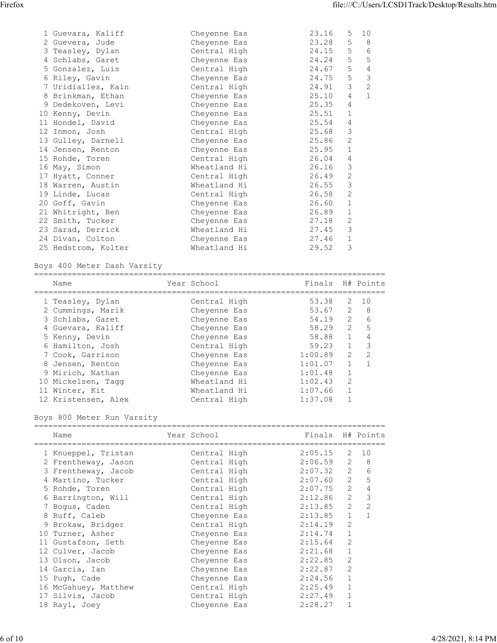| Firefox                                 |                              | file:///C:/Users/LCSD1Track/Desktop/Results.htm |  |
|-----------------------------------------|------------------------------|-------------------------------------------------|--|
|                                         |                              |                                                 |  |
|                                         |                              |                                                 |  |
| 1 Guevara, Kaliff                       | Cheyenne Eas                 | 23.16<br>$5\overline{)}$<br>10                  |  |
| 2 Guevera, Jude                         | Cheyenne Eas                 | $5\phantom{.0}$<br>8<br>23.28                   |  |
|                                         |                              |                                                 |  |
| 3 Teasley, Dylan                        | Central High                 | $\epsilon$<br>5<br>24.15                        |  |
| 4 Schlabs, Garet                        | Cheyenne Eas                 | $5\phantom{.0}$<br>5<br>24.24                   |  |
| 5 Gonzalez, Luis                        | Central High                 | $\overline{4}$<br>24.67<br>5                    |  |
| 6 Riley, Gavin                          | Cheyenne Eas                 | 3<br>5<br>24.75                                 |  |
| 7 Uridialles, Kain                      | Central High                 | $\mathbf{2}$<br>$\mathcal{S}$<br>24.91          |  |
| 8 Brinkman, Ethan                       | Cheyenne Eas                 | $\overline{4}$<br>1<br>25.10                    |  |
| 9 Oedekoven, Levi                       | Cheyenne Eas                 | 25.35<br>$\overline{4}$                         |  |
| 10 Kenny, Devin                         | Cheyenne Eas                 | 25.51<br>$\mathbf{1}$                           |  |
| 11 Hondel, David                        | Cheyenne Eas                 | 4<br>25.54                                      |  |
| 12 Inmon, Josh                          | Central High                 | 3<br>25.68                                      |  |
| 13 Gulley, Darnell                      | Cheyenne Eas                 | 2<br>25.86                                      |  |
| 14 Jensen, Renton                       | Cheyenne Eas                 | $\mathbf{1}$<br>25.95                           |  |
| 15 Rohde, Toren                         | Central High                 | $26.04$ 4                                       |  |
| 16 May, Simon                           | Wheatland Hi                 | 26.16<br>$\mathcal{S}$                          |  |
| 17 Hyatt, Conner                        | Central High                 | 26.49<br>$\overline{2}$                         |  |
| 18 Warren, Austin                       | Wheatland Hi                 | 26.55<br>$\mathcal{S}$                          |  |
| 19 Linde, Lucas                         | Central High                 | 2<br>26.58                                      |  |
| 20 Goff, Gavin                          | Cheyenne Eas                 | 26.60<br>$\mathbf{1}$                           |  |
| 21 Whitright, Ben                       | Cheyenne Eas                 | $\mathbf{1}$<br>26.89                           |  |
| 22 Smith, Tucker                        | Cheyenne Eas                 | $\mathbf{2}$<br>27.18                           |  |
| 23 Sarad, Derrick                       | Wheatland Hi                 | 27.45<br>3                                      |  |
| 24 Divan, Colton<br>25 Hedstrom, Kolter | Cheyenne Eas<br>Wheatland Hi | 27.46<br>$\mathbf{1}$<br>29.52<br>$\mathcal{S}$ |  |

Boys 400 Meter Dash Varsity

| Year School  |         |                | H# Points |
|--------------|---------|----------------|-----------|
| Central High | 53.38   |                | 2 10      |
| Cheyenne Eas | 53.67   | 2              | - 8       |
| Chevenne Eas | 54.19   | 2              | 6         |
| Cheyenne Eas | 58.29   | $\overline{2}$ | 5         |
| Cheyenne Eas | 58.88   |                | 4         |
| Central High | 59.23   |                | 3         |
| Cheyenne Eas | 1:00.89 | 2              | 2         |
| Chevenne Eas | 1:01.07 |                |           |
| Chevenne Eas | 1:01.48 |                |           |
| Wheatland Hi | 1:02.43 | -2             |           |
| Wheatland Hi | 1:07.66 |                |           |
| Central High | 1:37.08 |                |           |
|              |         |                | Finals    |

Boys 800 Meter Run Varsity

| Name                                         | Year School and the School | Finals H# Points |    |      |
|----------------------------------------------|----------------------------|------------------|----|------|
| 1 Knueppel, Tristan                          | Central High               | 2:05.15          |    | 2 10 |
| 2 Frentheway, Jason                          | Central High               | $2:06.59$ 2 8    |    |      |
| 3 Frentheway, Jacob                          | Central High               | $2:07.32$ 2      |    | 6    |
| 4 Martino, Tucker               Central High |                            | $2:07.60$ 2      |    | 5    |
| 5 Rohde, Toren                               | Central High               | $2:07.75$ 2      |    | 4    |
| 6 Barrington, Will                           | Central High               | 2:12.86 2        |    | 3    |
| 7 Boqus, Caden                               | Central High               | $2:13.85$ 2      |    | 2    |
| 8 Ruff, Caleb                                | Cheyenne Eas $2:13.85$ 1   |                  |    |      |
| 9 Brokaw, Bridger                            | Central High               | 2:14.19          | -2 |      |
| 10 Turner, Asher                             | Cheyenne Eas               | 2:14.74          | -1 |      |
| 11 Gustafson, Seth                           | Cheyenne Eas               | 2:15.64          | 2  |      |
| 12 Culver, Jacob                             | Cheyenne Eas               | 2:21.68          | -1 |      |
| 13 Olson, Jacob                              | Cheyenne Eas               | 2:22.85          | 2  |      |
| 14 Garcia, Ian                               | Cheyenne Eas               | 2:22.87          | 2  |      |
| 15 Pugh, Cade                                | Cheyenne Eas               | 2:24.56          | -1 |      |
| 16 McGahuey, Matthew                         | Central High               | 2:25.49          |    |      |
| 17 Silvis, Jacob                             | Central High               | 2:27.49          | -1 |      |
| 18 Rayl, Joey                                | Cheyenne Eas               | 2:28.27          |    |      |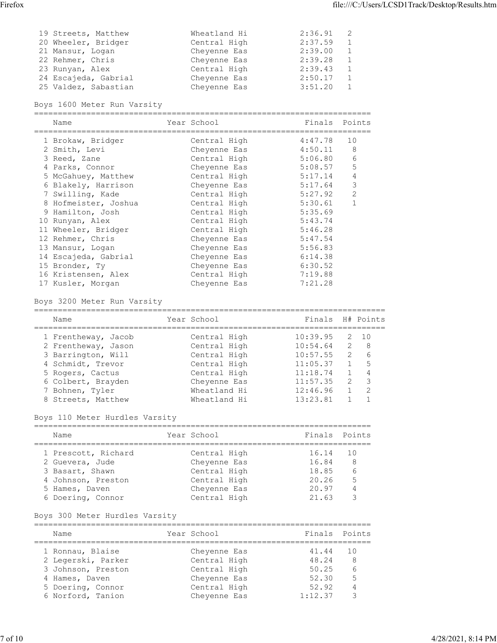| Firefox | 19 Streets, Matthew                          | Wheatland Hi                 | 2:36.91<br>2                                | file:///C:/Users/LCSD1Track/Desktop/Results.htm |
|---------|----------------------------------------------|------------------------------|---------------------------------------------|-------------------------------------------------|
|         | 20 Wheeler, Bridger                          | Central High                 | 2:37.59<br>$\,1\,$                          |                                                 |
|         | 21 Mansur, Logan                             | Cheyenne Eas                 | $\,1\,$<br>2:39.00                          |                                                 |
|         | 22 Rehmer, Chris<br>23 Runyan, Alex          | Cheyenne Eas<br>Central High | $\,1\,$<br>2:39.28<br>$1\,$<br>2:39.43      |                                                 |
|         | 24 Escajeda, Gabrial<br>25 Valdez, Sabastian | Cheyenne Eas<br>Cheyenne Eas | $\mathbf{1}$<br>2:50.17<br>$1\,$<br>3:51.20 |                                                 |

#### Boys 1600 Meter Run Varsity

=======================================================================

| Name                 | Year School  | Finals  | Points |
|----------------------|--------------|---------|--------|
| 1 Brokaw, Bridger    | Central High | 4:47.78 | 10     |
| 2 Smith, Levi        | Cheyenne Eas | 4:50.11 | 8      |
| 3 Reed, Zane         | Central High | 5:06.80 | 6      |
| 4 Parks, Connor      | Cheyenne Eas | 5:08.57 | 5      |
| 5 McGahuey, Matthew  | Central High | 5:17.14 | 4      |
| 6 Blakely, Harrison  | Cheyenne Eas | 5:17.64 | 3      |
| 7 Swilling, Kade     | Central High | 5:27.92 | 2      |
| 8 Hofmeister, Joshua | Central High | 5:30.61 |        |
| 9 Hamilton, Josh     | Central High | 5:35.69 |        |
| 10 Runyan, Alex      | Central High | 5:43.74 |        |
| 11 Wheeler, Bridger  | Central High | 5:46.28 |        |
| 12 Rehmer, Chris     | Cheyenne Eas | 5:47.54 |        |
| 13 Mansur, Logan     | Cheyenne Eas | 5:56.83 |        |
| 14 Escajeda, Gabrial | Cheyenne Eas | 6:14.38 |        |
| 15 Bronder, Ty       | Cheyenne Eas | 6:30.52 |        |
| 16 Kristensen, Alex  | Central High | 7:19.88 |        |
| 17 Kusler, Morgan    | Chevenne Eas | 7:21.28 |        |

#### Boys 3200 Meter Run Varsity

| Name                | Year School  | Finals H# Points |                |      |
|---------------------|--------------|------------------|----------------|------|
| 1 Frentheway, Jacob | Central High | 10:39.95         |                | 2 10 |
| 2 Frentheway, Jason | Central High | 10:54.64         | $\overline{2}$ | -8   |
| 3 Barrington, Will  | Central High | 10:57.55         | $\overline{2}$ | 6    |
| 4 Schmidt, Trevor   | Central High | 11:05.37         |                | -5   |
| 5 Rogers, Cactus    | Central High | 11:18.74         |                | 4    |
| 6 Colbert, Brayden  | Cheyenne Eas | 11:57.35         | $\overline{2}$ | -3   |
| 7 Bohnen, Tyler     | Wheatland Hi | 12:46.96         |                | -2   |
| 8 Streets, Matthew  | Wheatland Hi | 13:23.81         |                |      |

# Boys 110 Meter Hurdles Varsity

| Name                | Year School  | Finals Points |     |
|---------------------|--------------|---------------|-----|
| 1 Prescott, Richard | Central High | 16.14 10      |     |
| 2 Guevera, Jude     | Cheyenne Eas | 16.84         | - 8 |
| 3 Basart, Shawn     | Central High | 18.85         | 6   |
| 4 Johnson, Preston  | Central High | 20.26         | 5   |
| 5 Hames, Daven      | Cheyenne Eas | 20.97         | 4   |
| 6 Doering, Connor   | Central High | 21.63         |     |

# Boys 300 Meter Hurdles Varsity

| Name               | Year School  | Finals Points |    |
|--------------------|--------------|---------------|----|
| 1 Ronnau, Blaise   | Chevenne Eas | 41.44         | 10 |
| 2 Legerski, Parker | Central High | 48.24         | -8 |
| 3 Johnson, Preston | Central High | 50.25         | 6  |
| 4 Hames, Daven     | Cheyenne Eas | 52.30         | -5 |
| 5 Doering, Connor  | Central High | 52.92         | 4  |
| 6 Norford, Tanion  | Chevenne Eas | 1:12.37       |    |
|                    |              |               |    |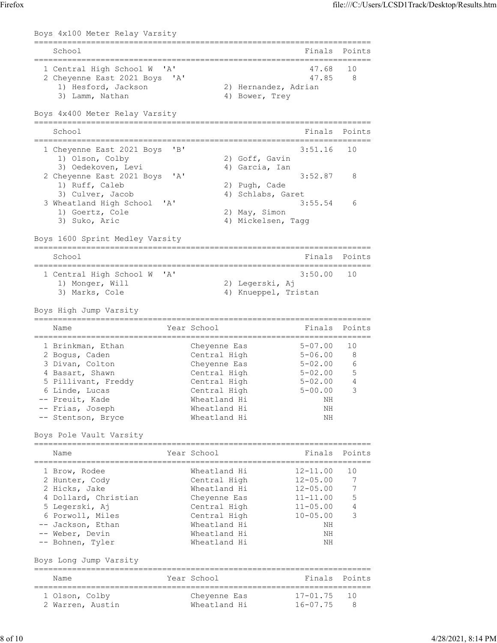|                                                                  |                                         |                              | file:///C:/Users/LCSD1Track/Desktop/Results.htm |
|------------------------------------------------------------------|-----------------------------------------|------------------------------|-------------------------------------------------|
| Boys 4x100 Meter Relay Varsity                                   |                                         |                              |                                                 |
| School                                                           |                                         |                              | Finals Points                                   |
| 1 Central High School W 'A'<br>2 Cheyenne East 2021 Boys 'A'     |                                         | 47.68<br>47.85               | 10<br>8                                         |
| 1) Hesford, Jackson<br>3) Lamm, Nathan                           | 2) Hernandez, Adrian<br>4) Bower, Trey  |                              |                                                 |
| Boys 4x400 Meter Relay Varsity                                   |                                         |                              |                                                 |
| School                                                           |                                         | Finals Points                |                                                 |
| 1 Cheyenne East 2021 Boys 'B'<br>1) Olson, Colby                 | 2) Goff, Gavin                          | $3:51.16$ 10                 |                                                 |
| 3) Oedekoven, Levi<br>2 Cheyenne East 2021 Boys 'A'              | 4) Garcia, Ian                          | 3:52.87                      | 8                                               |
| 1) Ruff, Caleb<br>3) Culver, Jacob                               | 2) Pugh, Cade<br>4) Schlabs, Garet      |                              |                                                 |
| 3 Wheatland High School 'A'<br>1) Goertz, Cole<br>3) Suko, Aric  | 2) May, Simon<br>4) Mickelsen, Tagg     | 3:55.54                      | 6                                               |
| Boys 1600 Sprint Medley Varsity                                  |                                         |                              |                                                 |
| School                                                           |                                         |                              | Finals Points                                   |
| 1 Central High School W 'A'<br>1) Monger, Will<br>3) Marks, Cole | 2) Legerski, Aj<br>4) Knueppel, Tristan | 3:50.00                      | 10                                              |
| Boys High Jump Varsity                                           |                                         |                              |                                                 |
| Name                                                             | Year School                             |                              | Finals Points                                   |
| 1 Brinkman, Ethan                                                | Cheyenne Eas                            | $5 - 07.00$                  | 10                                              |
| 2 Bogus, Caden<br>3 Divan, Colton                                | Central High<br>Cheyenne Eas            | $5 - 06.00$<br>$5 - 02.00$   | 8<br>6                                          |
| 4 Basart, Shawn<br>5 Pillivant, Freddy                           | Central High<br>Central High            | $5 - 02.00$<br>$5 - 02.00$   | 5<br>$\overline{4}$                             |
| 6 Linde, Lucas<br>-- Preuit, Kade                                | Central High<br>Wheatland Hi            | $5 - 00.00$<br>NH            | 3                                               |
| -- Frias, Joseph<br>-- Stentson, Bryce                           | Wheatland Hi<br>Wheatland Hi            | NH<br>ΝH                     |                                                 |
| Boys Pole Vault Varsity                                          |                                         |                              |                                                 |
| Name                                                             | Year School                             |                              | Finals Points                                   |
| 1 Brow, Rodee<br>2 Hunter, Cody                                  | Wheatland Hi<br>Central High            | 12-11.00<br>$12 - 05.00$     | 10<br>$7\phantom{.0}$                           |
| 2 Hicks, Jake                                                    | Wheatland Hi                            | $12 - 05.00$                 | 7                                               |
| 4 Dollard, Christian<br>5 Legerski, Aj                           | Cheyenne Eas<br>Central High            | 11-11.00<br>$11 - 05.00$     | 5<br>4                                          |
| 6 Porwoll, Miles<br>-- Jackson, Ethan                            | Central High<br>Wheatland Hi            | $10 - 05.00$<br>NH           | 3                                               |
| -- Weber, Devin<br>-- Bohnen, Tyler                              | Wheatland Hi<br>Wheatland Hi            | ΝH<br>NH                     |                                                 |
| Boys Long Jump Varsity                                           |                                         |                              |                                                 |
| Name                                                             | Year School                             |                              | Finals Points                                   |
| 1 Olson, Colby<br>2 Warren, Austin                               | Cheyenne Eas<br>Wheatland Hi            | $17 - 01.75$<br>$16 - 07.75$ | 10<br>8                                         |
|                                                                  |                                         |                              |                                                 |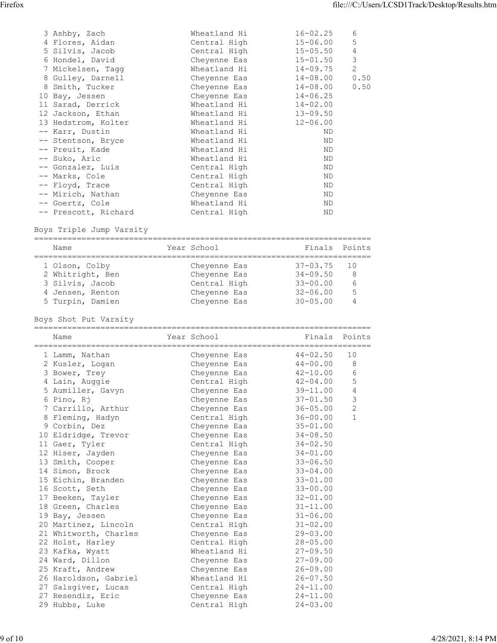| Firefox                                 |                              |                              | file:///C:/Users/LCSD1Track/Desktop/Results.htm |  |
|-----------------------------------------|------------------------------|------------------------------|-------------------------------------------------|--|
|                                         |                              |                              |                                                 |  |
|                                         |                              |                              |                                                 |  |
| 3 Ashby, Zach                           | Wheatland Hi                 | $16 - 02.25$                 | 6                                               |  |
| 4 Flores, Aidan<br>5 Silvis, Jacob      | Central High<br>Central High | $15 - 06.00$<br>$15 - 05.50$ | 5<br>$\overline{4}$                             |  |
| 6 Hondel, David                         | Cheyenne Eas                 | $15 - 01.50$                 | 3                                               |  |
| 7 Mickelsen, Tagg                       | Wheatland Hi                 | $14 - 09.75$                 | $\mathbf{2}$                                    |  |
| 8 Gulley, Darnell                       | Cheyenne Eas                 | $14 - 08.00$                 | 0.50                                            |  |
| 8 Smith, Tucker                         | Cheyenne Eas                 | $14 - 08.00$                 | 0.50                                            |  |
| 10 Bay, Jessen                          | Cheyenne Eas                 | $14 - 06.25$                 |                                                 |  |
| 11 Sarad, Derrick                       | Wheatland Hi                 | $14 - 02.00$                 |                                                 |  |
| 12 Jackson, Ethan                       | Wheatland Hi                 | $13 - 09.50$                 |                                                 |  |
| 13 Hedstrom, Kolter                     | Wheatland Hi                 | $12 - 06.00$                 |                                                 |  |
| -- Karr, Dustin                         | Wheatland Hi                 | ND                           |                                                 |  |
| -- Stentson, Bryce                      | Wheatland Hi                 | ND<br>ND                     |                                                 |  |
| -- Preuit, Kade<br>-- Suko, Aric        | Wheatland Hi<br>Wheatland Hi | $\rm ND$                     |                                                 |  |
| -- Gonzalez, Luis                       | Central High                 | $\rm ND$                     |                                                 |  |
| -- Marks, Cole                          | Central High                 | $\rm ND$                     |                                                 |  |
| -- Floyd, Trace                         | Central High                 | ND                           |                                                 |  |
| -- Mirich, Nathan                       | Cheyenne Eas                 | $\rm ND$                     |                                                 |  |
| -- Goertz, Cole<br>-- Prescott, Richard | Wheatland Hi<br>Central High | $\rm ND$<br>$\rm ND$         |                                                 |  |

Boys Triple Jump Varsity

=======================================================================

| Name             | Year School  | Finals Points |     |
|------------------|--------------|---------------|-----|
| 1 Olson, Colby   | Chevenne Eas | 37-03.75      | 10  |
| 2 Whitright, Ben | Cheyenne Eas | $34 - 09.50$  | - 8 |
| 3 Silvis, Jacob  | Central High | $33 - 00.00$  | b   |
| 4 Jensen, Renton | Cheyenne Eas | $32 - 06.00$  | -5  |
| 5 Turpin, Damien | Chevenne Eas | $30 - 05.00$  |     |
|                  |              |               |     |

Boys Shot Put Varsity

| Name                  | Year School  | Finals Points |                |
|-----------------------|--------------|---------------|----------------|
| 1 Lamm, Nathan        | Cheyenne Eas | $44 - 02.50$  | 10             |
| 2 Kusler, Logan       | Cheyenne Eas | $44 - 00.00$  | 8              |
| 3 Bower, Trey         | Chevenne Eas | $42 - 10.00$  | 6              |
| 4 Lain, Auggie        | Central High | 42-04.00      | 5              |
| 5 Aumiller, Gavyn     | Cheyenne Eas | 39-11.00      | 4              |
| 6 Pino, Rj            | Cheyenne Eas | $37 - 01.50$  | $\mathfrak{Z}$ |
| 7 Carrillo, Arthur    | Cheyenne Eas | 36-05.00      | 2              |
| 8 Fleming, Hadyn      | Central High | $36 - 00.00$  | $\mathbf{1}$   |
| 9 Corbin, Dez         | Cheyenne Eas | $35 - 01.00$  |                |
| 10 Eldridge, Trevor   | Cheyenne Eas | $34 - 08.50$  |                |
| 11 Gaer, Tyler        | Central High | $34 - 02.50$  |                |
| 12 Hiser, Jayden      | Cheyenne Eas | $34 - 01.00$  |                |
| 13 Smith, Cooper      | Cheyenne Eas | $33 - 06.50$  |                |
| 14 Simon, Brock       | Cheyenne Eas | $33 - 04.00$  |                |
| 15 Eichin, Branden    | Cheyenne Eas | $33 - 01.00$  |                |
| 16 Scott, Seth        | Cheyenne Eas | $33 - 00.00$  |                |
| 17 Beeken, Tayler     | Cheyenne Eas | $32 - 01.00$  |                |
| 18 Green, Charles     | Cheyenne Eas | $31 - 11.00$  |                |
| 19 Bay, Jessen        | Cheyenne Eas | $31 - 06.00$  |                |
| 20 Martinez, Lincoln  | Central High | $31 - 02.00$  |                |
| 21 Whitworth, Charles | Cheyenne Eas | $29 - 03.00$  |                |
| 22 Holst, Harley      | Central High | $28 - 05.00$  |                |
| 23 Kafka, Wyatt       | Wheatland Hi | $27 - 09.50$  |                |
| 24 Ward, Dillon       | Cheyenne Eas | $27 - 09.00$  |                |
| 25 Kraft, Andrew      | Cheyenne Eas | $26 - 09.00$  |                |
| 26 Haroldson, Gabriel | Wheatland Hi | $26 - 07.50$  |                |
| 27 Salsgiver, Lucas   | Central High | $24 - 11.00$  |                |
| 27 Resendiz, Eric     | Cheyenne Eas | $24 - 11.00$  |                |
| 29 Hubbs, Luke        | Central High | $24 - 03.00$  |                |